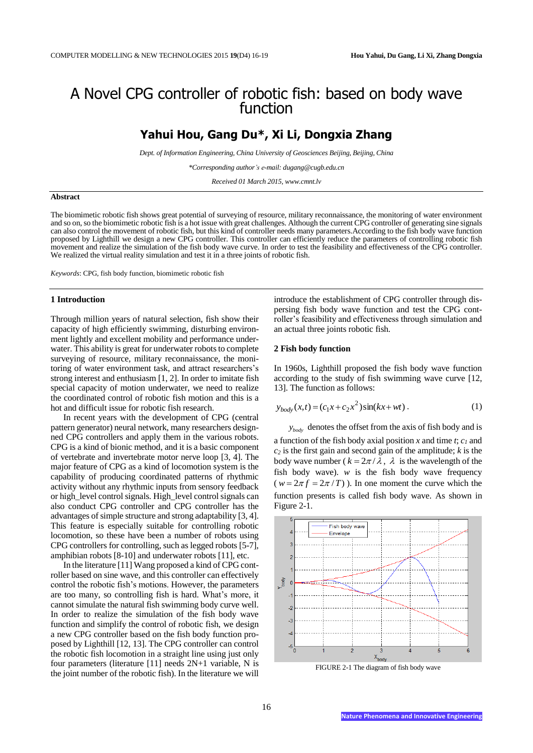# A Novel CPG controller of robotic fish: based on body wave function

# **Yahui Hou, Gang Du\*, Xi Li, Dongxia Zhang**

*Dept. of Information Engineering, China University of Geosciences Beijing, Beijing, China*

*\*Corresponding author's e-mail: dugang@cugb.edu.cn*

*Received 01 March 2015, www.cmnt.lv*

#### **Abstract**

The biomimetic robotic fish shows great potential of surveying of resource, military reconnaissance, the monitoring of water environment and so on, so the biomimetic robotic fish is a hot issue with great challenges. Although the current CPG controller of generating sine signals can also control the movement of robotic fish, but this kind of controller needs many parameters. According to the fish body wave function proposed by Lighthill we design a new CPG controller. This controller can efficiently reduce the parameters of controlling robotic fish movement and realize the simulation of the fish body wave curve. In order to test the feasibility and effectiveness of the CPG controller. We realized the virtual reality simulation and test it in a three joints of robotic fish.

*Keywords*: CPG, fish body function, biomimetic robotic fish

### **1 Introduction**

Through million years of natural selection, fish show their capacity of high efficiently swimming, disturbing environment lightly and excellent mobility and performance underwater. This ability is great for underwater robots to complete surveying of resource, military reconnaissance, the monitoring of water environment task, and attract researchers's strong interest and enthusiasm [1, 2]. In order to imitate fish special capacity of motion underwater, we need to realize the coordinated control of robotic fish motion and this is a hot and difficult issue for robotic fish research.

In recent years with the development of CPG (central pattern generator) neural network, many researchers designned CPG controllers and apply them in the various robots. CPG is a kind of bionic method, and it is a basic component of vertebrate and invertebrate motor nerve loop [3, 4]. The major feature of CPG as a kind of locomotion system is the capability of producing coordinated patterns of rhythmic activity without any rhythmic inputs from sensory feedback or high level control signals. High level control signals can also conduct CPG controller and CPG controller has the advantages of simple structure and strong adaptability [3, 4]. This feature is especially suitable for controlling robotic locomotion, so these have been a number of robots using CPG controllers for controlling, such as legged robots [5-7], amphibian robots [8-10] and underwater robots [11], etc.

In the literature [11] Wang proposed a kind of CPG controller based on sine wave, and this controller can effectively control the robotic fish's motions. However, the parameters are too many, so controlling fish is hard. What's more, it cannot simulate the natural fish swimming body curve well. In order to realize the simulation of the fish body wave function and simplify the control of robotic fish, we design a new CPG controller based on the fish body function proposed by Lighthill [12, 13]. The CPG controller can control the robotic fish locomotion in a straight line using just only four parameters (literature [11] needs 2N+1 variable, N is the joint number of the robotic fish). In the literature we will

introduce the establishment of CPG controller through dispersing fish body wave function and test the CPG controller's feasibility and effectiveness through simulation and an actual three joints robotic fish.

## **2 Fish body function**

In 1960s, Lighthill proposed the fish body wave function according to the study of fish swimming wave curve [12, 13]. The function as follows:

$$
y_{body}(x,t) = (c_1x + c_2x^2)\sin(kx + wt).
$$
 (1)

*body y* denotes the offset from the axis of fish body and is a function of the fish body axial position *x* and time *t*; *c<sup>1</sup>* and *c<sup>2</sup>* is the first gain and second gain of the amplitude; *k* is the body wave number ( $k = 2\pi / \lambda$ ,  $\lambda$  is the wavelength of the fish body wave).  $w$  is the fish body wave frequency  $(w = 2\pi f = 2\pi/T)$ ). In one moment the curve which the function presents is called fish body wave. As shown in Figure 2-1.



FIGURE 2-1 The diagram of fish body wave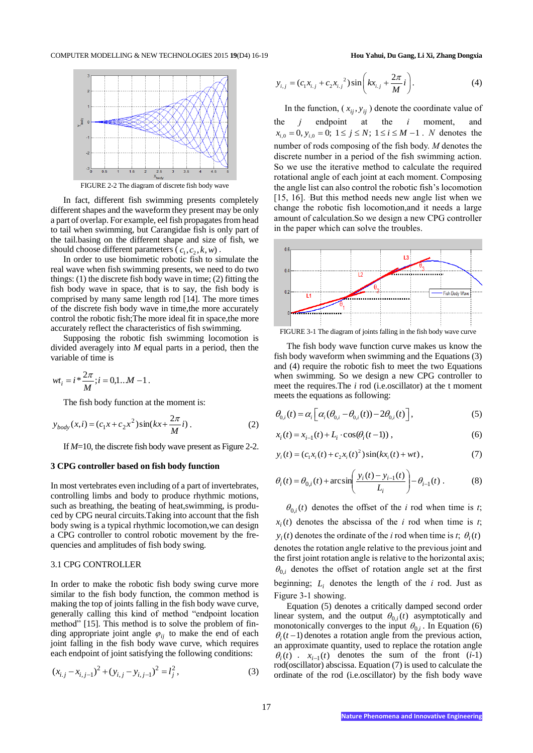

FIGURE 2-2 The diagram of discrete fish body wave

In fact, different fish swimming presents completely different shapes and the waveform they present may be only a part of overlap. For example, eel fish propagates from head to tail when swimming, but Carangidae fish is only part of the tail.basing on the different shape and size of fish, we should choose different parameters  $(c_1, c_2, k, w)$ .

In order to use biomimetic robotic fish to simulate the real wave when fish swimming presents, we need to do two things:  $(1)$  the discrete fish body wave in time;  $(2)$  fitting the fish body wave in space, that is to say, the fish body is comprised by many same length rod [14]. The more times of the discrete fish body wave in time,the more accurately control the robotic fish;The more ideal fit in space,the more accurately reflect the characteristics of fish swimming.

Supposing the robotic fish swimming locomotion is divided averagely into *M* equal parts in a period, then the variable of time is

.

$$
wt_i = i * \frac{2\pi}{M}; i = 0, 1...M - 1
$$

The fish body function at the moment is:

$$
y_{body}(x,i) = (c_1x + c_2x^2)\sin(kx + \frac{2\pi}{M}i) \tag{2}
$$

If *M*=10, the discrete fish body wave present as Figure 2-2.

#### **3 CPG controller based on fish body function**

In most vertebrates even including of a part of invertebrates, controlling limbs and body to produce rhythmic motions, such as breathing, the beating of heat,swimming, is produced by CPG neural circuits.Taking into account that the fish body swing is a typical rhythmic locomotion,we can design a CPG controller to control robotic movement by the frequencies and amplitudes of fish body swing.

#### 3.1 CPG CONTROLLER

In order to make the robotic fish body swing curve more similar to the fish body function, the common method is making the top of joints falling in the fish body wave curve, generally calling this kind of method "endpoint location method" [15]. This method is to solve the problem of finding appropriate joint angle  $\varphi_{ij}$  to make the end of each joint falling in the fish body wave curve, which requires each endpoint of joint satisfying the following conditions:

$$
(x_{i,j} - x_{i,j-1})^2 + (y_{i,j} - y_{i,j-1})^2 = l_j^2,
$$
\n(3)

$$
y_{i,j} = (c_1 x_{i,j} + c_2 x_{i,j}^2) \sin\left(k x_{i,j} + \frac{2\pi}{M}i\right).
$$
 (4)

In the function,  $(x_{ij}, y_{ij})$  denote the coordinate value of the *j* endpoint at the *i* moment, and  $x_{i,0} = 0$ ,  $y_{i,0} = 0$ ;  $1 \le j \le N$ ;  $1 \le i \le M - 1$ . *N* denotes the number of rods composing of the fish body. *M* denotes the discrete number in a period of the fish swimming action. So we use the iterative method to calculate the required rotational angle of each joint at each moment. Composing the angle list can also control the robotic fish's locomotion [15, 16]. But this method needs new angle list when we change the robotic fish locomotion,and it needs a large amount of calculation.So we design a new CPG controller in the paper which can solve the troubles.



FIGURE 3-1 The diagram of joints falling in the fish body wave curve

The fish body wave function curve makes us know the fish body waveform when swimming and the Equations (3) and (4) require the robotic fish to meet the two Equations when swimming. So we design a new CPG controller to meet the requires.The *i* rod (i.e.oscillator) at the t moment meets the equations as following:

$$
\theta_{0,i}(t) = \alpha_i \left[ \alpha_i (\theta_{0,i} - \theta_{0,i}(t)) - 2\theta_{0,i}(t) \right],
$$
 (5)

$$
x_i(t) = x_{i-1}(t) + L_i \cdot \cos(\theta_i(t-1)),
$$
\n(6)

$$
y_i(t) = (c_1 x_i(t) + c_2 x_i(t)^2) \sin(kx_i(t) + wt),
$$
\n(7)

$$
\theta_i(t) = \theta_{0,i}(t) + \arcsin\left(\frac{y_i(t) - y_{i-1}(t)}{L_i}\right) - \theta_{i-1}(t) . \tag{8}
$$

 $\theta_{0,i}(t)$  denotes the offset of the *i* rod when time is *t*;  $x_i(t)$  denotes the abscissa of the *i* rod when time is *t*;  $y_i(t)$  denotes the ordinate of the *i* rod when time is *t*;  $\theta_i(t)$ denotes the rotation angle relative to the previous joint and the first joint rotation angle is relative to the horizontal axis;  $\theta_{0,i}$  denotes the offset of rotation angle set at the first beginning;  $L_i$  denotes the length of the  $i$  rod. Just as Figure 3-1 showing.

Equation (5) denotes a critically damped second order linear system, and the output  $\theta_{0,i}(t)$  asymptotically and monotonically converges to the input  $\theta_{0,i}$ . In Equation (6)  $\theta_i(t-1)$  denotes a rotation angle from the previous action, an approximate quantity, used to replace the rotation angle  $\theta_i(t)$  *i*  $x_{i-1}(t)$  denotes the sum of the front (*i*-1) rod(oscillator) abscissa. Equation (7) is used to calculate the ordinate of the rod (i.e.oscillator) by the fish body wave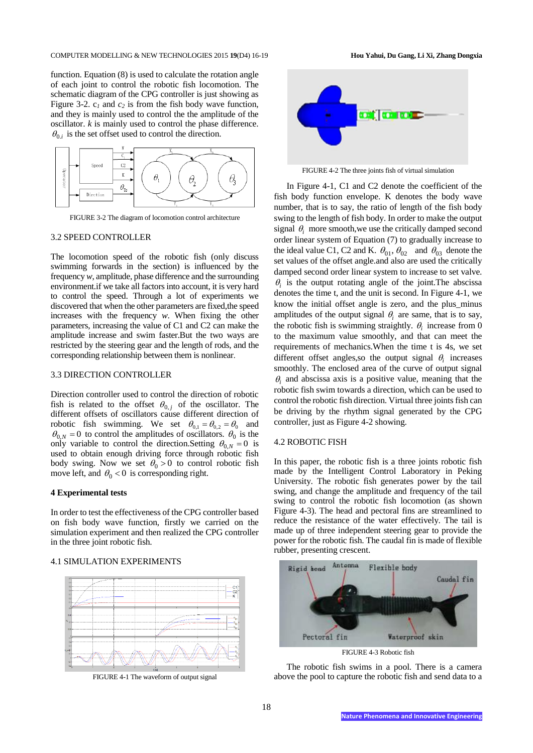function. Equation (8) is used to calculate the rotation angle of each joint to control the robotic fish locomotion. The schematic diagram of the CPG controller is just showing as Figure 3-2. c*<sup>1</sup>* and *c<sup>2</sup>* is from the fish body wave function, and they is mainly used to control the the amplitude of the oscillator. *k* is mainly used to control the phase difference.  $\theta_{0,i}$  is the set offset used to control the direction.



FIGURE 3-2 The diagram of locomotion control architecture

#### 3.2 SPEED CONTROLLER

The locomotion speed of the robotic fish (only discuss swimming forwards in the section) is influenced by the frequency *w*, amplitude, phase difference and the surrounding environment.if we take all factors into account, it is very hard to control the speed. Through a lot of experiments we discovered that when the other parameters are fixed,the speed increases with the frequency *w*. When fixing the other parameters, increasing the value of C1 and C2 can make the amplitude increase and swim faster.But the two ways are restricted by the steering gear and the length of rods, and the corresponding relationship between them is nonlinear.

#### 3.3 DIRECTION CONTROLLER

Direction controller used to control the direction of robotic fish is related to the offset  $\theta_{0,j}$  of the oscillator. The different offsets of oscillators cause different direction of robotic fish swimming. We set  $\theta_{0,1} = \theta_{0,2} = \theta_0$  and  $\theta_{0,N} = 0$  to control the amplitudes of oscillators.  $\theta_0$  is the only variable to control the direction.Setting  $\theta_{0,N} = 0$  is used to obtain enough driving force through robotic fish body swing. Now we set  $\theta_0 > 0$  to control robotic fish move left, and  $\theta_0 < 0$  is corresponding right.

#### **4 Experimental tests**

In order to test the effectiveness of the CPG controller based on fish body wave function, firstly we carried on the simulation experiment and then realized the CPG controller in the three joint robotic fish.

#### 4.1 SIMULATION EXPERIMENTS



FIGURE 4-1 The waveform of output signal



FIGURE 4-2 The three joints fish of virtual simulation

In Figure 4-1, C1 and C2 denote the coefficient of the fish body function envelope. K denotes the body wave number, that is to say, the ratio of length of the fish body swing to the length of fish body. In order to make the output signal  $\theta_i$  more smooth, we use the critically damped second order linear system of Equation (7) to gradually increase to the ideal value C1, C2 and K.  $\theta_{01}$ ,  $\theta_{02}$  and  $\theta_{03}$  denote the set values of the offset angle.and also are used the critically damped second order linear system to increase to set valve.  $\theta_i$  is the output rotating angle of the joint. The abscissa denotes the time t, and the unit is second. In Figure 4-1, we know the initial offset angle is zero, and the plus\_minus amplitudes of the output signal  $\theta_i$  are same, that is to say, the robotic fish is swimming straightly.  $\theta_i$  increase from 0 to the maximum value smoothly, and that can meet the requirements of mechanics.When the time t is 4s, we set different offset angles, so the output signal  $\theta_i$  increases smoothly. The enclosed area of the curve of output signal  $\theta_i$  and abscissa axis is a positive value, meaning that the robotic fish swim towards a direction, which can be used to control the robotic fish direction. Virtual three joints fish can be driving by the rhythm signal generated by the CPG controller, just as Figure 4-2 showing.

#### 4.2 ROBOTIC FISH

In this paper, the robotic fish is a three joints robotic fish made by the Intelligent Control Laboratory in Peking University. The robotic fish generates power by the tail swing, and change the amplitude and frequency of the tail swing to control the robotic fish locomotion (as shown Figure 4-3). The head and pectoral fins are streamlined to reduce the resistance of the water effectively. The tail is made up of three independent steering gear to provide the power for the robotic fish. The caudal fin is made of flexible rubber, presenting crescent.



FIGURE 4-3 Robotic fish

The robotic fish swims in a pool. There is a camera above the pool to capture the robotic fish and send data to a